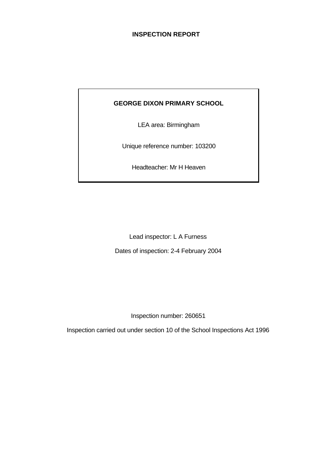# **INSPECTION REPORT**

# **GEORGE DIXON PRIMARY SCHOOL**

LEA area: Birmingham

Unique reference number: 103200

Headteacher: Mr H Heaven

Lead inspector: L A Furness

Dates of inspection: 2-4 February 2004

Inspection number: 260651

Inspection carried out under section 10 of the School Inspections Act 1996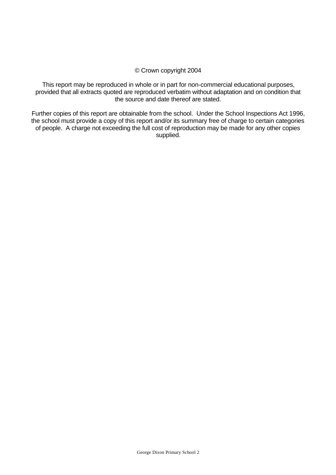#### © Crown copyright 2004

This report may be reproduced in whole or in part for non-commercial educational purposes, provided that all extracts quoted are reproduced verbatim without adaptation and on condition that the source and date thereof are stated.

Further copies of this report are obtainable from the school. Under the School Inspections Act 1996, the school must provide a copy of this report and/or its summary free of charge to certain categories of people. A charge not exceeding the full cost of reproduction may be made for any other copies supplied.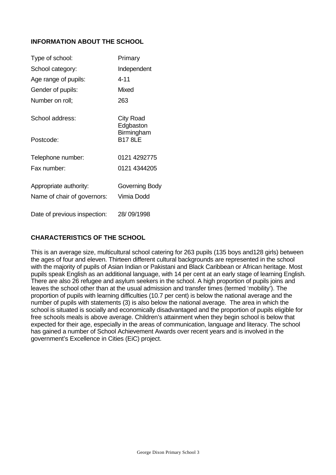# **INFORMATION ABOUT THE SCHOOL**

| Type of school:              | Primary                      |
|------------------------------|------------------------------|
| School category:             | Independent                  |
| Age range of pupils:         | $4 - 11$                     |
| Gender of pupils:            | <b>Mixed</b>                 |
| Number on roll;              | 263                          |
| School address:              | City Road<br>Edgbaston       |
| Postcode:                    | Birmingham<br><b>B17 8LE</b> |
| Telephone number:            | 0121 4292775                 |
| Fax number:                  | 0121 4344205                 |
| Appropriate authority:       | Governing Body               |
| Name of chair of governors:  | Vimia Dodd                   |
| Date of previous inspection: | 28/09/1998                   |

# **CHARACTERISTICS OF THE SCHOOL**

This is an average size, multicultural school catering for 263 pupils (135 boys and128 girls) between the ages of four and eleven. Thirteen different cultural backgrounds are represented in the school with the majority of pupils of Asian Indian or Pakistani and Black Caribbean or African heritage. Most pupils speak English as an additional language, with 14 per cent at an early stage of learning English. There are also 26 refugee and asylum seekers in the school. A high proportion of pupils joins and leaves the school other than at the usual admission and transfer times (termed 'mobility'). The proportion of pupils with learning difficulties (10.7 per cent) is below the national average and the number of pupils with statements (3) is also below the national average. The area in which the school is situated is socially and economically disadvantaged and the proportion of pupils eligible for free schools meals is above average. Children's attainment when they begin school is below that expected for their age, especially in the areas of communication, language and literacy. The school has gained a number of School Achievement Awards over recent years and is involved in the government's Excellence in Cities (EiC) project.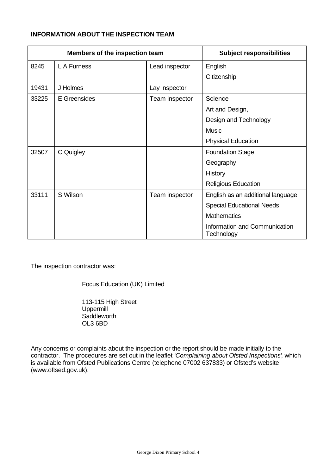# **INFORMATION ABOUT THE INSPECTION TEAM**

|       | Members of the inspection team |                | <b>Subject responsibilities</b>             |
|-------|--------------------------------|----------------|---------------------------------------------|
| 8245  | L A Furness                    | Lead inspector | English                                     |
|       |                                |                | Citizenship                                 |
| 19431 | J Holmes                       | Lay inspector  |                                             |
| 33225 | E Greensides                   | Team inspector | Science                                     |
|       |                                |                | Art and Design,                             |
|       |                                |                | Design and Technology                       |
|       |                                |                | <b>Music</b>                                |
|       |                                |                | <b>Physical Education</b>                   |
| 32507 | C Quigley                      |                | <b>Foundation Stage</b>                     |
|       |                                |                | Geography                                   |
|       |                                |                | History                                     |
|       |                                |                | <b>Religious Education</b>                  |
| 33111 | S Wilson                       | Team inspector | English as an additional language           |
|       |                                |                | <b>Special Educational Needs</b>            |
|       |                                |                | <b>Mathematics</b>                          |
|       |                                |                | Information and Communication<br>Technology |

The inspection contractor was:

Focus Education (UK) Limited

113-115 High Street Uppermill **Saddleworth** OL3 6BD

Any concerns or complaints about the inspection or the report should be made initially to the contractor. The procedures are set out in the leaflet *'Complaining about Ofsted Inspections'*, which is available from Ofsted Publications Centre (telephone 07002 637833) or Ofsted's website (www.oftsed.gov.uk).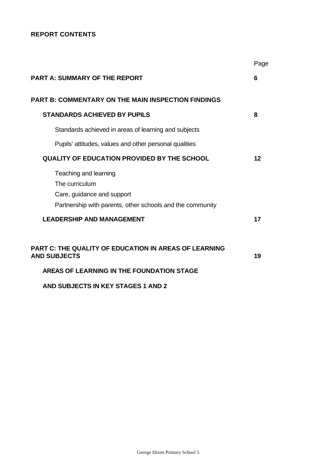# **REPORT CONTENTS**

|                                                                                               | Page    |
|-----------------------------------------------------------------------------------------------|---------|
| <b>PART A: SUMMARY OF THE REPORT</b>                                                          | 6       |
| <b>PART B: COMMENTARY ON THE MAIN INSPECTION FINDINGS</b>                                     |         |
| <b>STANDARDS ACHIEVED BY PUPILS</b>                                                           | 8       |
| Standards achieved in areas of learning and subjects                                          |         |
| Pupils' attitudes, values and other personal qualities                                        |         |
| <b>QUALITY OF EDUCATION PROVIDED BY THE SCHOOL</b>                                            | $12 \,$ |
| Teaching and learning<br>The curriculum<br>Care, guidance and support                         |         |
| Partnership with parents, other schools and the community<br><b>LEADERSHIP AND MANAGEMENT</b> | 17      |
| <b>PART C: THE QUALITY OF EDUCATION IN AREAS OF LEARNING</b><br><b>AND SUBJECTS</b>           | 19      |
| AREAS OF LEARNING IN THE FOUNDATION STAGE                                                     |         |
| AND SUBJECTS IN KEY STAGES 1 AND 2                                                            |         |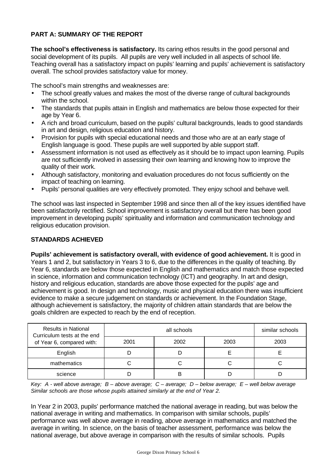# **PART A: SUMMARY OF THE REPORT**

**The school's effectiveness is satisfactory.** Its caring ethos results in the good personal and social development of its pupils. All pupils are very well included in all aspects of school life. Teaching overall has a satisfactory impact on pupils' learning and pupils' achievement is satisfactory overall. The school provides satisfactory value for money.

The school's main strengths and weaknesses are:

- The school greatly values and makes the most of the diverse range of cultural backgrounds within the school.
- The standards that pupils attain in English and mathematics are below those expected for their age by Year 6.
- A rich and broad curriculum, based on the pupils' cultural backgrounds, leads to good standards in art and design, religious education and history.
- Provision for pupils with special educational needs and those who are at an early stage of English language is good. These pupils are well supported by able support staff.
- Assessment information is not used as effectively as it should be to impact upon learning. Pupils are not sufficiently involved in assessing their own learning and knowing how to improve the quality of their work.
- Although satisfactory, monitoring and evaluation procedures do not focus sufficiently on the impact of teaching on learning.
- Pupils' personal qualities are very effectively promoted. They enjoy school and behave well.

The school was last inspected in September 1998 and since then all of the key issues identified have been satisfactorily rectified. School improvement is satisfactory overall but there has been good improvement in developing pupils' spirituality and information and communication technology and religious education provision.

## **STANDARDS ACHIEVED**

**Pupils' achievement is satisfactory overall, with evidence of good achievement.** It is good in Years 1 and 2, but satisfactory in Years 3 to 6, due to the differences in the quality of teaching. By Year 6, standards are below those expected in English and mathematics and match those expected in science, information and communication technology (ICT) and geography. In art and design, history and religious education, standards are above those expected for the pupils' age and achievement is good. In design and technology, music and physical education there was insufficient evidence to make a secure judgement on standards or achievement. In the Foundation Stage, although achievement is satisfactory, the majority of children attain standards that are below the goals children are expected to reach by the end of reception.

| <b>Results in National</b><br>Curriculum tests at the end |      | similar schools |      |      |
|-----------------------------------------------------------|------|-----------------|------|------|
| of Year 6, compared with:                                 | 2001 | 2002            | 2003 | 2003 |
| English                                                   |      |                 |      |      |
| mathematics                                               |      |                 |      |      |
| science                                                   |      | В               |      |      |

*Key: A - well above average; B – above average; C – average; D – below average; E – well below average Similar schools are those whose pupils attained similarly at the end of Year 2.*

In Year 2 in 2003, pupils' performance matched the national average in reading, but was below the national average in writing and mathematics. In comparison with similar schools, pupils' performance was well above average in reading, above average in mathematics and matched the average in writing. In science, on the basis of teacher assessment, performance was below the national average, but above average in comparison with the results of similar schools. Pupils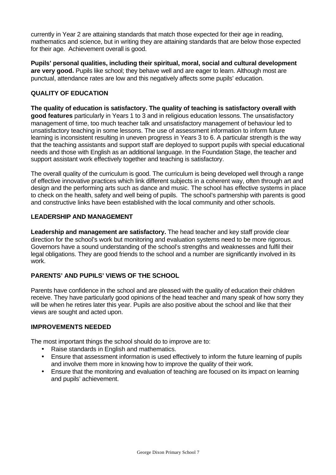currently in Year 2 are attaining standards that match those expected for their age in reading, mathematics and science, but in writing they are attaining standards that are below those expected for their age. Achievement overall is good.

**Pupils' personal qualities, including their spiritual, moral, social and cultural development** are very good. Pupils like school; they behave well and are eager to learn. Although most are punctual, attendance rates are low and this negatively affects some pupils' education.

# **QUALITY OF EDUCATION**

**The quality of education is satisfactory. The quality of teaching is satisfactory overall with good features** particularly in Years 1 to 3 and in religious education lessons. The unsatisfactory management of time, too much teacher talk and unsatisfactory management of behaviour led to unsatisfactory teaching in some lessons. The use of assessment information to inform future learning is inconsistent resulting in uneven progress in Years 3 to 6. A particular strength is the way that the teaching assistants and support staff are deployed to support pupils with special educational needs and those with English as an additional language. In the Foundation Stage, the teacher and support assistant work effectively together and teaching is satisfactory.

The overall quality of the curriculum is good. The curriculum is being developed well through a range of effective innovative practices which link different subjects in a coherent way, often through art and design and the performing arts such as dance and music. The school has effective systems in place to check on the health, safety and well being of pupils. The school's partnership with parents is good and constructive links have been established with the local community and other schools.

## **LEADERSHIP AND MANAGEMENT**

**Leadership and management are satisfactory.** The head teacher and key staff provide clear direction for the school's work but monitoring and evaluation systems need to be more rigorous. Governors have a sound understanding of the school's strengths and weaknesses and fulfil their legal obligations. They are good friends to the school and a number are significantly involved in its work.

## **PARENTS' AND PUPILS' VIEWS OF THE SCHOOL**

Parents have confidence in the school and are pleased with the quality of education their children receive. They have particularly good opinions of the head teacher and many speak of how sorry they will be when he retires later this year. Pupils are also positive about the school and like that their views are sought and acted upon.

#### **IMPROVEMENTS NEEDED**

The most important things the school should do to improve are to:

- Raise standards in English and mathematics.
- Ensure that assessment information is used effectively to inform the future learning of pupils and involve them more in knowing how to improve the quality of their work.
- Ensure that the monitoring and evaluation of teaching are focused on its impact on learning and pupils' achievement.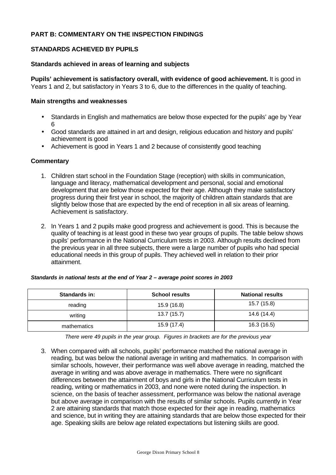## **PART B: COMMENTARY ON THE INSPECTION FINDINGS**

## **STANDARDS ACHIEVED BY PUPILS**

## **Standards achieved in areas of learning and subjects**

**Pupils' achievement is satisfactory overall, with evidence of good achievement.** It is good in Years 1 and 2, but satisfactory in Years 3 to 6, due to the differences in the quality of teaching.

#### **Main strengths and weaknesses**

- Standards in English and mathematics are below those expected for the pupils' age by Year 6
- Good standards are attained in art and design, religious education and history and pupils' achievement is good
- Achievement is good in Years 1 and 2 because of consistently good teaching

#### **Commentary**

- 1. Children start school in the Foundation Stage (reception) with skills in communication, language and literacy, mathematical development and personal, social and emotional development that are below those expected for their age. Although they make satisfactory progress during their first year in school, the majority of children attain standards that are slightly below those that are expected by the end of reception in all six areas of learning. Achievement is satisfactory.
- 2. In Years 1 and 2 pupils make good progress and achievement is good. This is because the quality of teaching is at least good in these two year groups of pupils. The table below shows pupils' performance in the National Curriculum tests in 2003. Although results declined from the previous year in all three subjects, there were a large number of pupils who had special educational needs in this group of pupils. They achieved well in relation to their prior attainment.

| <b>Standards in:</b> | <b>School results</b> | <b>National results</b> |  |  |
|----------------------|-----------------------|-------------------------|--|--|
| reading              | 15.9 (16.8)           | 15.7 (15.8)             |  |  |
| writing              | 13.7(15.7)            | 14.6 (14.4)             |  |  |
| mathematics          | 15.9 (17.4)           | 16.3 (16.5)             |  |  |

#### *Standards in national tests at the end of Year 2 – average point scores in 2003*

*There were 49 pupils in the year group. Figures in brackets are for the previous year*

3. When compared with all schools, pupils' performance matched the national average in reading, but was below the national average in writing and mathematics. In comparison with similar schools, however, their performance was well above average in reading, matched the average in writing and was above average in mathematics. There were no significant differences between the attainment of boys and girls in the National Curriculum tests in reading, writing or mathematics in 2003, and none were noted during the inspection. In science, on the basis of teacher assessment, performance was below the national average but above average in comparison with the results of similar schools. Pupils currently in Year 2 are attaining standards that match those expected for their age in reading, mathematics and science, but in writing they are attaining standards that are below those expected for their age. Speaking skills are below age related expectations but listening skills are good.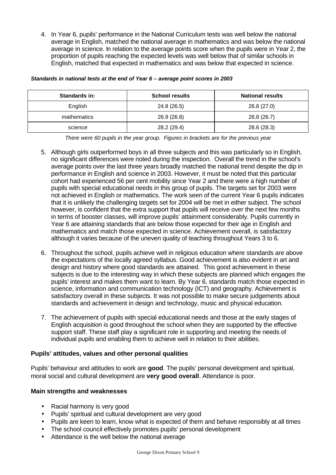4. In Year 6, pupils' performance in the National Curriculum tests was well below the national average in English, matched the national average in mathematics and was below the national average in science. In relation to the average points score when the pupils were in Year 2, the proportion of pupils reaching the expected levels was well below that of similar schools in English, matched that expected in mathematics and was below that expected in science.

| <b>Standards in:</b> | <b>School results</b> | <b>National results</b> |  |  |
|----------------------|-----------------------|-------------------------|--|--|
| English              | 24.8 (26.5)           | 26.8 (27.0)             |  |  |
| mathematics          | 26.9 (26.8)           | 26.8 (26.7)             |  |  |
| science              | 28.2 (29.4)           | 28.6 (28.3)             |  |  |

#### *Standards in national tests at the end of Year 6 – average point scores in 2003*

*There were 60 pupils in the year group. Figures in brackets are for the previous year*

- 5. Although girls outperformed boys in all three subjects and this was particularly so in English, no significant differences were noted during the inspection. Overall the trend in the school's average points over the last three years broadly matched the national trend despite the dip in performance in English and science in 2003. However, it must be noted that this particular cohort had experienced 56 per cent mobility since Year 2 and there were a high number of pupils with special educational needs in this group of pupils. The targets set for 2003 were not achieved in English or mathematics. The work seen of the current Year 6 pupils indicates that it is unlikely the challenging targets set for 2004 will be met in either subject. The school however, is confident that the extra support that pupils will receive over the next few months in terms of booster classes, will improve pupils' attainment considerably. Pupils currently in Year 6 are attaining standards that are below those expected for their age in English and mathematics and match those expected in science. Achievement overall, is satisfactory although it varies because of the uneven quality of teaching throughout Years 3 to 6.
- 6. Throughout the school, pupils achieve well in religious education where standards are above the expectations of the locally agreed syllabus. Good achievement is also evident in art and design and history where good standards are attained. This good achievement in these subjects is due to the interesting way in which these subjects are planned which engages the pupils' interest and makes them want to learn. By Year 6, standards match those expected in science, information and communication technology (ICT) and geography. Achievement is satisfactory overall in these subjects. It was not possible to make secure judgements about standards and achievement in design and technology, music and physical education.
- 7. The achievement of pupils with special educational needs and those at the early stages of English acquisition is good throughout the school when they are supported by the effective support staff. These staff play a significant role in supporting and meeting the needs of individual pupils and enabling them to achieve well in relation to their abilities.

#### **Pupils' attitudes, values and other personal qualities**

Pupils' behaviour and attitudes to work are **good**. The pupils' personal development and spiritual, moral social and cultural development are **very good overall**. Attendance is poor.

#### **Main strengths and weaknesses**

- Racial harmony is very good
- Pupils' spiritual and cultural development are very good
- Pupils are keen to learn, know what is expected of them and behave responsibly at all times
- The school council effectively promotes pupils' personal development
- Attendance is the well below the national average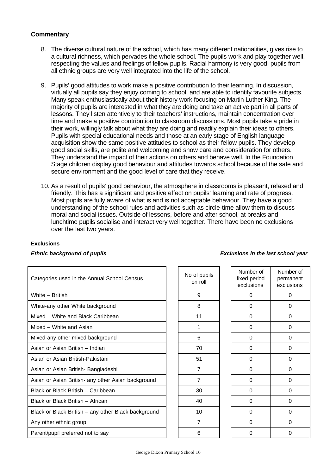## **Commentary**

- 8. The diverse cultural nature of the school, which has many different nationalities, gives rise to a cultural richness, which pervades the whole school. The pupils work and play together well, respecting the values and feelings of fellow pupils. Racial harmony is very good; pupils from all ethnic groups are very well integrated into the life of the school.
- 9. Pupils' good attitudes to work make a positive contribution to their learning. In discussion, virtually all pupils say they enjoy coming to school, and are able to identify favourite subjects. Many speak enthusiastically about their history work focusing on Martin Luther King. The majority of pupils are interested in what they are doing and take an active part in all parts of lessons. They listen attentively to their teachers' instructions, maintain concentration over time and make a positive contribution to classroom discussions. Most pupils take a pride in their work, willingly talk about what they are doing and readily explain their ideas to others. Pupils with special educational needs and those at an early stage of English language acquisition show the same positive attitudes to school as their fellow pupils. They develop good social skills, are polite and welcoming and show care and consideration for others. They understand the impact of their actions on others and behave well. In the Foundation Stage children display good behaviour and attitudes towards school because of the safe and secure environment and the good level of care that they receive.
- 10. As a result of pupils' good behaviour, the atmosphere in classrooms is pleasant, relaxed and friendly. This has a significant and positive effect on pupils' learning and rate of progress. Most pupils are fully aware of what is and is not acceptable behaviour. They have a good understanding of the school rules and activities such as circle-time allow them to discuss moral and social issues. Outside of lessons, before and after school, at breaks and lunchtime pupils socialise and interact very well together. There have been no exclusions over the last two years.

| Categories used in the Annual School Census         | No of pupils<br>on roll | Number of<br>fixed period<br>exclusions | Numb<br>perma<br>exclus |
|-----------------------------------------------------|-------------------------|-----------------------------------------|-------------------------|
| White - British                                     | 9                       | $\Omega$                                | $\Omega$                |
| White-any other White background                    | 8                       | $\Omega$                                | 0                       |
| Mixed - White and Black Caribbean                   | 11                      | 0                                       | 0                       |
| Mixed - White and Asian                             | 1                       | $\Omega$                                | $\Omega$                |
| Mixed-any other mixed background                    | 6                       | $\Omega$                                | 0                       |
| Asian or Asian British - Indian                     | 70                      | $\Omega$                                | 0                       |
| Asian or Asian British-Pakistani                    | 51                      | $\Omega$                                | 0                       |
| Asian or Asian British- Bangladeshi                 | $\overline{7}$          | $\Omega$                                | 0                       |
| Asian or Asian British- any other Asian background  | 7                       | $\Omega$                                | 0                       |
| Black or Black British - Caribbean                  | 30                      | $\Omega$                                | 0                       |
| Black or Black British - African                    | 40                      | $\Omega$                                | 0                       |
| Black or Black British - any other Black background | 10                      | $\Omega$                                | 0                       |
| Any other ethnic group                              | 7                       | 0                                       | 0                       |
| Parent/pupil preferred not to say                   | 6                       | $\Omega$                                | $\Omega$                |

#### **Exclusions**

| No of pupils<br>on roll | Number of<br>fixed period<br>exclusions |  |
|-------------------------|-----------------------------------------|--|
| 9                       | 0                                       |  |
| 8                       | 0                                       |  |
| 11                      | 0                                       |  |
| 1                       | 0                                       |  |
| 6                       | 0                                       |  |
| 70                      | 0                                       |  |
| 51                      | 0                                       |  |
| 7                       | 0                                       |  |
| 7                       | 0                                       |  |
| 30                      | 0                                       |  |
| 40                      | 0                                       |  |
| 10                      | 0                                       |  |
| 7                       | 0                                       |  |
| 6                       | 0                                       |  |
|                         |                                         |  |

## *Ethnic background of pupils Exclusions in the last school year*

Number of permanent exclusions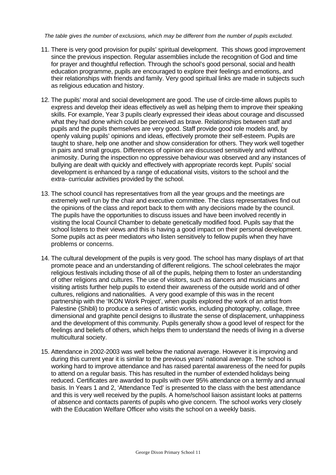*The table gives the number of exclusions, which may be different from the number of pupils excluded.*

- 11. There is very good provision for pupils' spiritual development. This shows good improvement since the previous inspection. Regular assemblies include the recognition of God and time for prayer and thoughtful reflection. Through the school's good personal, social and health education programme, pupils are encouraged to explore their feelings and emotions, and their relationships with friends and family. Very good spiritual links are made in subjects such as religious education and history.
- 12. The pupils' moral and social development are good. The use of circle-time allows pupils to express and develop their ideas effectively as well as helping them to improve their speaking skills. For example, Year 3 pupils clearly expressed their ideas about courage and discussed what they had done which could be perceived as brave. Relationships between staff and pupils and the pupils themselves are very good. Staff provide good role models and, by openly valuing pupils' opinions and ideas, effectively promote their self-esteem. Pupils are taught to share, help one another and show consideration for others. They work well together in pairs and small groups. Differences of opinion are discussed sensitively and without animosity. During the inspection no oppressive behaviour was observed and any instances of bullying are dealt with quickly and effectively with appropriate records kept. Pupils' social development is enhanced by a range of educational visits, visitors to the school and the extra- curricular activities provided by the school.
- 13. The school council has representatives from all the year groups and the meetings are extremely well run by the chair and executive committee. The class representatives find out the opinions of the class and report back to them with any decisions made by the council. The pupils have the opportunities to discuss issues and have been involved recently in visiting the local Council Chamber to debate genetically modified food. Pupils say that the school listens to their views and this is having a good impact on their personal development. Some pupils act as peer mediators who listen sensitively to fellow pupils when they have problems or concerns.
- 14. The cultural development of the pupils is very good. The school has many displays of art that promote peace and an understanding of different religions. The school celebrates the major religious festivals including those of all of the pupils, helping them to foster an understanding of other religions and cultures. The use of visitors, such as dancers and musicians and visiting artists further help pupils to extend their awareness of the outside world and of other cultures, religions and nationalities. A very good example of this was in the recent partnership with the 'IKON Work Project', when pupils explored the work of an artist from Palestine (Shibli) to produce a series of artistic works, including photography, collage, three dimensional and graphite pencil designs to illustrate the sense of displacement, unhappiness and the development of this community. Pupils generally show a good level of respect for the feelings and beliefs of others, which helps them to understand the needs of living in a diverse multicultural society.
- 15. Attendance in 2002-2003 was well below the national average. However it is improving and during this current year it is similar to the previous years' national average. The school is working hard to improve attendance and has raised parental awareness of the need for pupils to attend on a regular basis. This has resulted in the number of extended holidays being reduced. Certificates are awarded to pupils with over 95% attendance on a termly and annual basis. In Years 1 and 2, 'Attendance Ted' is presented to the class with the best attendance and this is very well received by the pupils. A home/school liaison assistant looks at patterns of absence and contacts parents of pupils who give concern. The school works very closely with the Education Welfare Officer who visits the school on a weekly basis.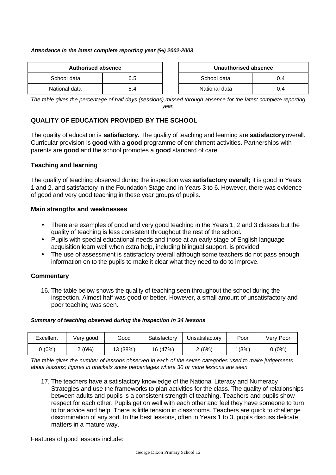#### *Attendance in the latest complete reporting year (%) 2002-2003*

| Authorised absence |     |  | Unauthorised absence |     |
|--------------------|-----|--|----------------------|-----|
| School data        | 6.5 |  | School data          | 0.4 |
| National data      | 5.4 |  | National data        | 0.4 |

| Authorised absence |     | Unauthorised absence |     |
|--------------------|-----|----------------------|-----|
| data               | 6.5 | School data<br>0.4   |     |
| data               | 5.4 | National data        | 0.4 |

*The table gives the percentage of half days (sessions) missed through absence for the latest complete reporting year.*

## **QUALITY OF EDUCATION PROVIDED BY THE SCHOOL**

The quality of education is **satisfactory.** The quality of teaching and learning are **satisfactory** overall. Curricular provision is **good** with a **good** programme of enrichment activities. Partnerships with parents are **good** and the school promotes a **good** standard of care.

## **Teaching and learning**

The quality of teaching observed during the inspection was **satisfactory overall;** it is good in Years 1 and 2, and satisfactory in the Foundation Stage and in Years 3 to 6. However, there was evidence of good and very good teaching in these year groups of pupils.

## **Main strengths and weaknesses**

- There are examples of good and very good teaching in the Years 1, 2 and 3 classes but the quality of teaching is less consistent throughout the rest of the school.
- Pupils with special educational needs and those at an early stage of English language acquisition learn well when extra help, including bilingual support, is provided
- The use of assessment is satisfactory overall although some teachers do not pass enough information on to the pupils to make it clear what they need to do to improve.

## **Commentary**

16. The table below shows the quality of teaching seen throughout the school during the inspection. Almost half was good or better. However, a small amount of unsatisfactory and poor teaching was seen.

#### *Summary of teaching observed during the inspection in 34 lessons*

| Excellent | Verv good | Good     | Satisfactory | Unsatisfactory | Poor  | Verv Poor |
|-----------|-----------|----------|--------------|----------------|-------|-----------|
| (0%)      | (6%)      | 13 (38%) | 16 (47%)     | (6%)           | 1(3%) | (0%)      |

*The table gives the number of lessons observed in each of the seven categories used to make judgements about lessons; figures in brackets show percentages where 30 or more lessons are seen.*

17. The teachers have a satisfactory knowledge of the National Literacy and Numeracy Strategies and use the frameworks to plan activities for the class. The quality of relationships between adults and pupils is a consistent strength of teaching. Teachers and pupils show respect for each other. Pupils get on well with each other and feel they have someone to turn to for advice and help. There is little tension in classrooms. Teachers are quick to challenge discrimination of any sort. In the best lessons, often in Years 1 to 3, pupils discuss delicate matters in a mature way.

Features of good lessons include: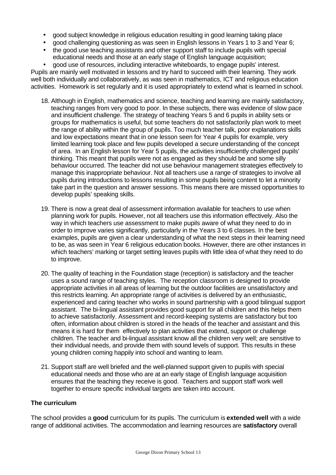- good subject knowledge in religious education resulting in good learning taking place
- good challenging questioning as was seen in English lessons in Years 1 to 3 and Year 6;
- the good use teaching assistants and other support staff to include pupils with special educational needs and those at an early stage of English language acquisition;

• good use of resources, including interactive whiteboards, to engage pupils' interest. Pupils are mainly well motivated in lessons and try hard to succeed with their learning. They work well both individually and collaboratively, as was seen in mathematics, ICT and religious education activities. Homework is set regularly and it is used appropriately to extend what is learned in school.

- 18. Although in English, mathematics and science, teaching and learning are mainly satisfactory, teaching ranges from very good to poor. In these subjects, there was evidence of slow pace and insufficient challenge. The strategy of teaching Years 5 and 6 pupils in ability sets or groups for mathematics is useful, but some teachers do not satisfactorily plan work to meet the range of ability within the group of pupils. Too much teacher talk, poor explanations skills and low expectations meant that in one lesson seen for Year 4 pupils for example, very limited learning took place and few pupils developed a secure understanding of the concept of area. In an English lesson for Year 5 pupils, the activities insufficiently challenged pupils' thinking. This meant that pupils were not as engaged as they should be and some silly behaviour occurred. The teacher did not use behaviour management strategies effectively to manage this inappropriate behaviour. Not all teachers use a range of strategies to involve all pupils during introductions to lessons resulting in some pupils being content to let a minority take part in the question and answer sessions. This means there are missed opportunities to develop pupils' speaking skills.
- 19. There is now a great deal of assessment information available for teachers to use when planning work for pupils. However, not all teachers use this information effectively. Also the way in which teachers use assessment to make pupils aware of what they need to do in order to improve varies significantly, particularly in the Years 3 to 6 classes. In the best examples, pupils are given a clear understanding of what the next steps in their learning need to be, as was seen in Year 6 religious education books. However, there are other instances in which teachers' marking or target setting leaves pupils with little idea of what they need to do to improve.
- 20. The quality of teaching in the Foundation stage (reception) is satisfactory and the teacher uses a sound range of teaching styles. The reception classroom is designed to provide appropriate activities in all areas of learning but the outdoor facilities are unsatisfactory and this restricts learning. An appropriate range of activities is delivered by an enthusiastic, experienced and caring teacher who works in sound partnership with a good bilingual support assistant. The bi-lingual assistant provides good support for all children and this helps them to achieve satisfactorily. Assessment and record-keeping systems are satisfactory but too often, information about children is stored in the heads of the teacher and assistant and this means it is hard for them effectively to plan activities that extend, support or challenge children. The teacher and bi-lingual assistant know all the children very well; are sensitive to their individual needs, and provide them with sound levels of support. This results in these young children coming happily into school and wanting to learn.
- 21. Support staff are well briefed and the well-planned support given to pupils with special educational needs and those who are at an early stage of English language acquisition ensures that the teaching they receive is good. Teachers and support staff work well together to ensure specific individual targets are taken into account.

# **The curriculum**

The school provides a **good** curriculum for its pupils. The curriculum is **extended well** with a wide range of additional activities. The accommodation and learning resources are **satisfactory** overall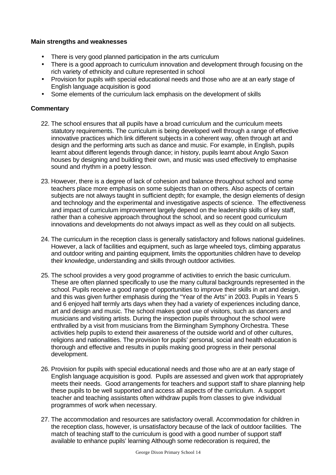## **Main strengths and weaknesses**

- There is very good planned participation in the arts curriculum
- There is a good approach to curriculum innovation and development through focusing on the rich variety of ethnicity and culture represented in school
- Provision for pupils with special educational needs and those who are at an early stage of English language acquisition is good
- Some elements of the curriculum lack emphasis on the development of skills

- 22. The school ensures that all pupils have a broad curriculum and the curriculum meets statutory requirements. The curriculum is being developed well through a range of effective innovative practices which link different subjects in a coherent way, often through art and design and the performing arts such as dance and music. For example, in English, pupils learnt about different legends through dance; in history, pupils learnt about Anglo Saxon houses by designing and building their own, and music was used effectively to emphasise sound and rhythm in a poetry lesson.
- 23. However, there is a degree of lack of cohesion and balance throughout school and some teachers place more emphasis on some subjects than on others. Also aspects of certain subjects are not always taught in sufficient depth; for example, the design elements of design and technology and the experimental and investigative aspects of science. The effectiveness and impact of curriculum improvement largely depend on the leadership skills of key staff, rather than a cohesive approach throughout the school, and so recent good curriculum innovations and developments do not always impact as well as they could on all subjects.
- 24. The curriculum in the reception class is generally satisfactory and follows national guidelines. However, a lack of facilities and equipment, such as large wheeled toys, climbing apparatus and outdoor writing and painting equipment, limits the opportunities children have to develop their knowledge, understanding and skills through outdoor activities.
- 25. The school provides a very good programme of activities to enrich the basic curriculum. These are often planned specifically to use the many cultural backgrounds represented in the school. Pupils receive a good range of opportunities to improve their skills in art and design, and this was given further emphasis during the "Year of the Arts" in 2003. Pupils in Years 5 and 6 enjoyed half termly arts days when they had a variety of experiences including dance, art and design and music. The school makes good use of visitors, such as dancers and musicians and visiting artists. During the inspection pupils throughout the school were enthralled by a visit from musicians from the Birmingham Symphony Orchestra. These activities help pupils to extend their awareness of the outside world and of other cultures, religions and nationalities. The provision for pupils' personal, social and health education is thorough and effective and results in pupils making good progress in their personal development.
- 26. Provision for pupils with special educational needs and those who are at an early stage of English language acquisition is good. Pupils are assessed and given work that appropriately meets their needs. Good arrangements for teachers and support staff to share planning help these pupils to be well supported and access all aspects of the curriculum. A support teacher and teaching assistants often withdraw pupils from classes to give individual programmes of work when necessary.
- 27. The accommodation and resources are satisfactory overall. Accommodation for children in the reception class, however, is unsatisfactory because of the lack of outdoor facilities. The match of teaching staff to the curriculum is good with a good number of support staff available to enhance pupils' learning Although some redecoration is required, the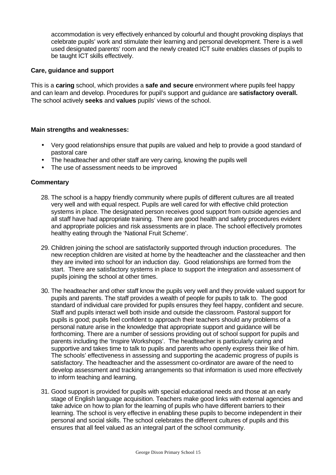accommodation is very effectively enhanced by colourful and thought provoking displays that celebrate pupils' work and stimulate their learning and personal development. There is a well used designated parents' room and the newly created ICT suite enables classes of pupils to be taught ICT skills effectively.

## **Care, guidance and support**

This is a **caring** school, which provides a **safe and secure** environment where pupils feel happy and can learn and develop. Procedures for pupil's support and guidance are **satisfactory overall.** The school actively **seeks** and **values** pupils' views of the school.

#### **Main strengths and weaknesses:**

- Very good relationships ensure that pupils are valued and help to provide a good standard of pastoral care
- The headteacher and other staff are very caring, knowing the pupils well
- The use of assessment needs to be improved

- 28. The school is a happy friendly community where pupils of different cultures are all treated very well and with equal respect. Pupils are well cared for with effective child protection systems in place. The designated person receives good support from outside agencies and all staff have had appropriate training. There are good health and safety procedures evident and appropriate policies and risk assessments are in place. The school effectively promotes healthy eating through the 'National Fruit Scheme'.
- 29. Children joining the school are satisfactorily supported through induction procedures. The new reception children are visited at home by the headteacher and the classteacher and then they are invited into school for an induction day. Good relationships are formed from the start. There are satisfactory systems in place to support the integration and assessment of pupils joining the school at other times.
- 30. The headteacher and other staff know the pupils very well and they provide valued support for pupils and parents. The staff provides a wealth of people for pupils to talk to. The good standard of individual care provided for pupils ensures they feel happy, confident and secure. Staff and pupils interact well both inside and outside the classroom. Pastoral support for pupils is good; pupils feel confident to approach their teachers should any problems of a personal nature arise in the knowledge that appropriate support and guidance will be forthcoming. There are a number of sessions providing out of school support for pupils and parents including the 'Inspire Workshops'. The headteacher is particularly caring and supportive and takes time to talk to pupils and parents who openly express their like of him. The schools' effectiveness in assessing and supporting the academic progress of pupils is satisfactory. The headteacher and the assessment co-ordinator are aware of the need to develop assessment and tracking arrangements so that information is used more effectively to inform teaching and learning.
- 31. Good support is provided for pupils with special educational needs and those at an early stage of English language acquisition. Teachers make good links with external agencies and take advice on how to plan for the learning of pupils who have different barriers to their learning. The school is very effective in enabling these pupils to become independent in their personal and social skills. The school celebrates the different cultures of pupils and this ensures that all feel valued as an integral part of the school community.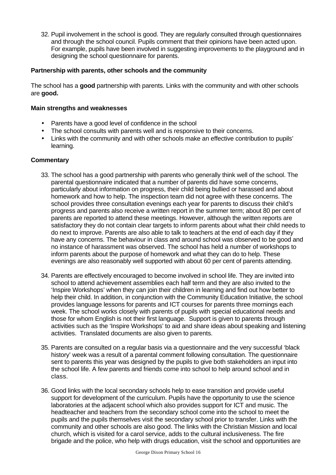32. Pupil involvement in the school is good. They are regularly consulted through questionnaires and through the school council. Pupils comment that their opinions have been acted upon. For example, pupils have been involved in suggesting improvements to the playground and in designing the school questionnaire for parents.

## **Partnership with parents, other schools and the community**

The school has a **good** partnership with parents. Links with the community and with other schools are **good.**

## **Main strengths and weaknesses**

- Parents have a good level of confidence in the school
- The school consults with parents well and is responsive to their concerns.
- Links with the community and with other schools make an effective contribution to pupils' learning.

- 33. The school has a good partnership with parents who generally think well of the school. The parental questionnaire indicated that a number of parents did have some concerns, particularly about information on progress, their child being bullied or harassed and about homework and how to help. The inspection team did not agree with these concerns. The school provides three consultation evenings each year for parents to discuss their child's progress and parents also receive a written report in the summer term; about 80 per cent of parents are reported to attend these meetings. However, although the written reports are satisfactory they do not contain clear targets to inform parents about what their child needs to do next to improve. Parents are also able to talk to teachers at the end of each day if they have any concerns. The behaviour in class and around school was observed to be good and no instance of harassment was observed. The school has held a number of workshops to inform parents about the purpose of homework and what they can do to help. These evenings are also reasonably well supported with about 60 per cent of parents attending.
- 34. Parents are effectively encouraged to become involved in school life. They are invited into school to attend achievement assemblies each half term and they are also invited to the 'Inspire Workshops' when they can join their children in learning and find out how better to help their child. In addition, in conjunction with the Community Education Initiative, the school provides language lessons for parents and ICT courses for parents three mornings each week. The school works closely with parents of pupils with special educational needs and those for whom English is not their first language. Support is given to parents through activities such as the 'Inspire Workshops' to aid and share ideas about speaking and listening activities. Translated documents are also given to parents.
- 35. Parents are consulted on a regular basis via a questionnaire and the very successful 'black history' week was a result of a parental comment following consultation. The questionnaire sent to parents this year was designed by the pupils to give both stakeholders an input into the school life. A few parents and friends come into school to help around school and in class.
- 36. Good links with the local secondary schools help to ease transition and provide useful support for development of the curriculum. Pupils have the opportunity to use the science laboratories at the adjacent school which also provides support for ICT and music. The headteacher and teachers from the secondary school come into the school to meet the pupils and the pupils themselves visit the secondary school prior to transfer. Links with the community and other schools are also good. The links with the Christian Mission and local church, which is visited for a carol service, adds to the cultural inclusiveness. The fire brigade and the police, who help with drugs education, visit the school and opportunities are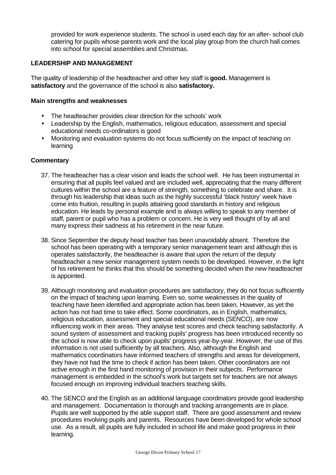provided for work experience students. The school is used each day for an after- school club catering for pupils whose parents work and the local play group from the church hall comes into school for special assemblies and Christmas.

#### **LEADERSHIP AND MANAGEMENT**

The quality of leadership of the headteacher and other key staff is **good.** Management is **satisfactory** and the governance of the school is also **satisfactory.**

#### **Main strengths and weaknesses**

- The headteacher provides clear direction for the schools' work
- Leadership by the English, mathematics, religious education, assessment and special educational needs co-ordinators is good
- Monitoring and evaluation systems do not focus sufficiently on the impact of teaching on learning

- 37. The headteacher has a clear vision and leads the school well. He has been instrumental in ensuring that all pupils feel valued and are included well, appreciating that the many different cultures within the school are a feature of strength, something to celebrate and share. It is through his leadership that ideas such as the highly successful 'black history' week have come into fruition, resulting in pupils attaining good standards in history and religious education. He leads by personal example and is always willing to speak to any member of staff, parent or pupil who has a problem or concern. He is very well thought of by all and many express their sadness at his retirement in the near future.
- 38. Since September the deputy head teacher has been unavoidably absent. Therefore the school has been operating with a temporary senior management team and although this is operates satisfactorily, the headteacher is aware that upon the return of the deputy headteacher a new senior management system needs to be developed. However, in the light of his retirement he thinks that this should be something decided when the new headteacher is appointed.
- 39. Although monitoring and evaluation procedures are satisfactory, they do not focus sufficiently on the impact of teaching upon learning. Even so, some weaknesses in the quality of teaching have been identified and appropriate action has been taken. However, as yet the action has not had time to take effect. Some coordinators, as in English, mathematics, religious education, assessment and special educational needs (SENCO), are now influencing work in their areas. They analyse test scores and check teaching satisfactorily. A sound system of assessment and tracking pupils' progress has been introduced recently so the school is now able to check upon pupils' progress year-by-year. However, the use of this information is not used sufficiently by all teachers. Also, although the English and mathematics coordinators have informed teachers of strengths and areas for development, they have not had the time to check if action has been taken. Other coordinators are not active enough in the first hand monitoring of provision in their subjects. Performance management is embedded in the school's work but targets set for teachers are not always focused enough on improving individual teachers teaching skills.
- 40. The SENCO and the English as an additional language coordinators provide good leadership and management. Documentation is thorough and tracking arrangements are in place. Pupils are well supported by the able support staff. There are good assessment and review procedures involving pupils and parents. Resources have been developed for whole school use. As a result, all pupils are fully included in school life and make good progress in their learning.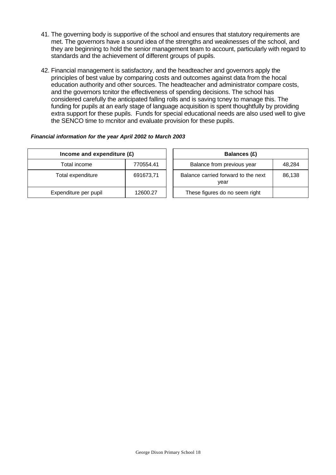- 41. The governing body is supportive of the school and ensures that statutory requirements are met. The governors have a sound idea of the strengths and weaknesses of the school, and they are beginning to hold the senior management team to account, particularly with regard to standards and the achievement of different groups of pupils.
- 42. Financial management is satisfactory, and the headteacher and governors apply the principles of best value by comparing costs and outcomes against data from the hocal education authority and other sources. The headteacher and administrator compare costs, and the governors tcnitor the effectiveness of spending decisions. The school has considered carefully the anticipated falling rolls and is saving tcney to manage this. The funding for pupils at an early stage of language acquisition is spent thoughtfully by providing extra support for these pupils. Funds for special educational needs are also used well to give the SENCO time to mcnitor and evaluate provision for these pupils.

#### *Financial information for the year April 2002 to March 2003*

| Income and expenditure $(E)$ |           | <b>Balances (£)</b> |                                             |        |
|------------------------------|-----------|---------------------|---------------------------------------------|--------|
| Total income                 | 770554.41 |                     | Balance from previous year                  | 48,284 |
| Total expenditure            | 691673,71 |                     | Balance carried forward to the next<br>year | 86.138 |
| Expenditure per pupil        | 12600.27  |                     | These figures do no seem right              |        |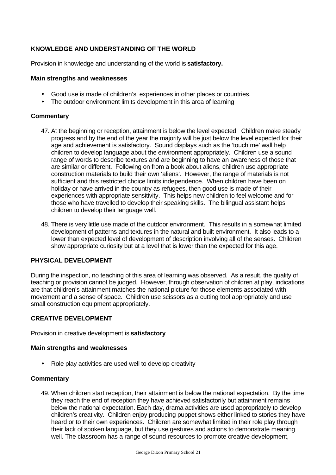# **KNOWLEDGE AND UNDERSTANDING OF THE WORLD**

Provision in knowledge and understanding of the world is **satisfactory.**

## **Main strengths and weaknesses**

- Good use is made of children's' experiences in other places or countries.
- The outdoor environment limits development in this area of learning

## **Commentary**

- 47. At the beginning or reception, attainment is below the level expected. Children make steady progress and by the end of the year the majority will be just below the level expected for their age and achievement is satisfactory. Sound displays such as the 'touch me' wall help children to develop language about the environment appropriately. Children use a sound range of words to describe textures and are beginning to have an awareness of those that are similar or different. Following on from a book about aliens, children use appropriate construction materials to build their own 'aliens'. However, the range of materials is not sufficient and this restricted choice limits independence. When children have been on holiday or have arrived in the country as refugees, then good use is made of their experiences with appropriate sensitivity. This helps new children to feel welcome and for those who have travelled to develop their speaking skills. The bilingual assistant helps children to develop their language well.
- 48. There is very little use made of the outdoor environment. This results in a somewhat limited development of patterns and textures in the natural and built environment. It also leads to a lower than expected level of development of description involving all of the senses. Children show appropriate curiosity but at a level that is lower than the expected for this age.

# **PHYSICAL DEVELOPMENT**

During the inspection, no teaching of this area of learning was observed. As a result, the quality of teaching or provision cannot be judged. However, through observation of children at play, indications are that children's attainment matches the national picture for those elements associated with movement and a sense of space. Children use scissors as a cutting tool appropriately and use small construction equipment appropriately.

## **CREATIVE DEVELOPMENT**

Provision in creative development is **satisfactory**

## **Main strengths and weaknesses**

• Role play activities are used well to develop creativity

## **Commentary**

49. When children start reception, their attainment is below the national expectation. By the time they reach the end of reception they have achieved satisfactorily but attainment remains below the national expectation. Each day, drama activities are used appropriately to develop children's creativity. Children enjoy producing puppet shows either linked to stories they have heard or to their own experiences. Children are somewhat limited in their role play through their lack of spoken language, but they use gestures and actions to demonstrate meaning well. The classroom has a range of sound resources to promote creative development,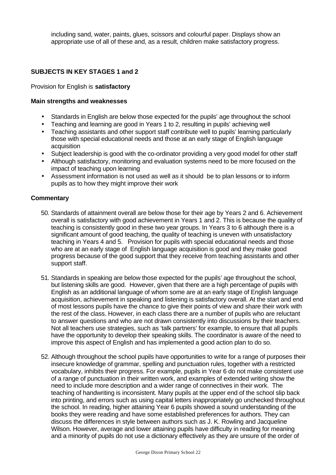including sand, water, paints, glues, scissors and colourful paper. Displays show an appropriate use of all of these and, as a result, children make satisfactory progress.

## **SUBJECTS IN KEY STAGES 1 and 2**

#### Provision for English is **satisfactory**

#### **Main strengths and weaknesses**

- Standards in English are below those expected for the pupils' age throughout the school
- Teaching and learning are good in Years 1 to 2, resulting in pupils' achieving well
- Teaching assistants and other support staff contribute well to pupils' learning particularly those with special educational needs and those at an early stage of English language acquisition
- Subject leadership is good with the co-ordinator providing a very good model for other staff
- Although satisfactory, monitoring and evaluation systems need to be more focused on the impact of teaching upon learning
- Assessment information is not used as well as it should be to plan lessons or to inform pupils as to how they might improve their work

- 50. Standards of attainment overall are below those for their age by Years 2 and 6. Achievement overall is satisfactory with good achievement in Years 1 and 2. This is because the quality of teaching is consistently good in these two year groups. In Years 3 to 6 although there is a significant amount of good teaching, the quality of teaching is uneven with unsatisfactory teaching in Years 4 and 5. Provision for pupils with special educational needs and those who are at an early stage of English language acquisition is good and they make good progress because of the good support that they receive from teaching assistants and other support staff.
- 51. Standards in speaking are below those expected for the pupils' age throughout the school, but listening skills are good. However, given that there are a high percentage of pupils with English as an additional language of whom some are at an early stage of English language acquisition, achievement in speaking and listening is satisfactory overall. At the start and end of most lessons pupils have the chance to give their points of view and share their work with the rest of the class. However, in each class there are a number of pupils who are reluctant to answer questions and who are not drawn consistently into discussions by their teachers. Not all teachers use strategies, such as 'talk partners' for example, to ensure that all pupils have the opportunity to develop their speaking skills. The coordinator is aware of the need to improve this aspect of English and has implemented a good action plan to do so.
- 52. Although throughout the school pupils have opportunities to write for a range of purposes their insecure knowledge of grammar, spelling and punctuation rules, together with a restricted vocabulary, inhibits their progress. For example, pupils in Year 6 do not make consistent use of a range of punctuation in their written work, and examples of extended writing show the need to include more description and a wider range of connectives in their work. The teaching of handwriting is inconsistent. Many pupils at the upper end of the school slip back into printing, and errors such as using capital letters inappropriately go unchecked throughout the school. In reading, higher attaining Year 6 pupils showed a sound understanding of the books they were reading and have some established preferences for authors. They can discuss the differences in style between authors such as J. K. Rowling and Jacqueline Wilson. However, average and lower attaining pupils have difficulty in reading for meaning and a minority of pupils do not use a dictionary effectively as they are unsure of the order of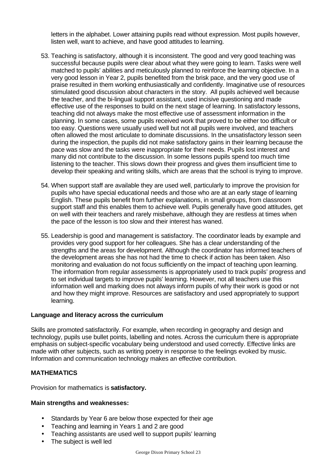letters in the alphabet. Lower attaining pupils read without expression. Most pupils however, listen well, want to achieve, and have good attitudes to learning.

- 53. Teaching is satisfactory, although it is inconsistent. The good and very good teaching was successful because pupils were clear about what they were going to learn. Tasks were well matched to pupils' abilities and meticulously planned to reinforce the learning objective. In a very good lesson in Year 2, pupils benefited from the brisk pace, and the very good use of praise resulted in them working enthusiastically and confidently. Imaginative use of resources stimulated good discussion about characters in the story. All pupils achieved well because the teacher, and the bi-lingual support assistant, used incisive questioning and made effective use of the responses to build on the next stage of learning. In satisfactory lessons, teaching did not always make the most effective use of assessment information in the planning. In some cases, some pupils received work that proved to be either too difficult or too easy. Questions were usually used well but not all pupils were involved, and teachers often allowed the most articulate to dominate discussions. In the unsatisfactory lesson seen during the inspection, the pupils did not make satisfactory gains in their learning because the pace was slow and the tasks were inappropriate for their needs. Pupils lost interest and many did not contribute to the discussion. In some lessons pupils spend too much time listening to the teacher. This slows down their progress and gives them insufficient time to develop their speaking and writing skills, which are areas that the school is trying to improve.
- 54. When support staff are available they are used well, particularly to improve the provision for pupils who have special educational needs and those who are at an early stage of learning English. These pupils benefit from further explanations, in small groups, from classroom support staff and this enables them to achieve well. Pupils generally have good attitudes, get on well with their teachers and rarely misbehave, although they are restless at times when the pace of the lesson is too slow and their interest has waned.
- 55. Leadership is good and management is satisfactory. The coordinator leads by example and provides very good support for her colleagues. She has a clear understanding of the strengths and the areas for development. Although the coordinator has informed teachers of the development areas she has not had the time to check if action has been taken. Also monitoring and evaluation do not focus sufficiently on the impact of teaching upon learning. The information from regular assessments is appropriately used to track pupils' progress and to set individual targets to improve pupils' learning. However, not all teachers use this information well and marking does not always inform pupils of why their work is good or not and how they might improve. Resources are satisfactory and used appropriately to support learning.

## **Language and literacy across the curriculum**

Skills are promoted satisfactorily. For example, when recording in geography and design and technology, pupils use bullet points, labelling and notes. Across the curriculum there is appropriate emphasis on subject-specific vocabulary being understood and used correctly. Effective links are made with other subjects, such as writing poetry in response to the feelings evoked by music. Information and communication technology makes an effective contribution.

## **MATHEMATICS**

Provision for mathematics is **satisfactory.**

## **Main strengths and weaknesses:**

- Standards by Year 6 are below those expected for their age
- Teaching and learning in Years 1 and 2 are good
- Teaching assistants are used well to support pupils' learning
- The subject is well led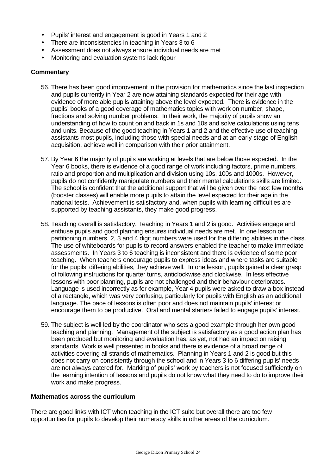- Pupils' interest and engagement is good in Years 1 and 2
- There are inconsistencies in teaching in Years 3 to 6
- Assessment does not always ensure individual needs are met
- Monitoring and evaluation systems lack rigour

#### **Commentary**

- 56. There has been good improvement in the provision for mathematics since the last inspection and pupils currently in Year 2 are now attaining standards expected for their age with evidence of more able pupils attaining above the level expected. There is evidence in the pupils' books of a good coverage of mathematics topics with work on number, shape, fractions and solving number problems. In their work, the majority of pupils show an understanding of how to count on and back in 1s and 10s and solve calculations using tens and units. Because of the good teaching in Years 1 and 2 and the effective use of teaching assistants most pupils, including those with special needs and at an early stage of English acquisition, achieve well in comparison with their prior attainment.
- 57. By Year 6 the majority of pupils are working at levels that are below those expected. In the Year 6 books, there is evidence of a good range of work including factors, prime numbers, ratio and proportion and multiplication and division using 10s, 100s and 1000s. However, pupils do not confidently manipulate numbers and their mental calculations skills are limited. The school is confident that the additional support that will be given over the next few months (booster classes) will enable more pupils to attain the level expected for their age in the national tests. Achievement is satisfactory and, when pupils with learning difficulties are supported by teaching assistants, they make good progress.
- 58. Teaching overall is satisfactory. Teaching in Years 1 and 2 is good. Activities engage and enthuse pupils and good planning ensures individual needs are met. In one lesson on partitioning numbers, 2, 3 and 4 digit numbers were used for the differing abilities in the class. The use of whiteboards for pupils to record answers enabled the teacher to make immediate assessments. In Years 3 to 6 teaching is inconsistent and there is evidence of some poor teaching. When teachers encourage pupils to express ideas and where tasks are suitable for the pupils' differing abilities, they achieve well. In one lesson, pupils gained a clear grasp of following instructions for quarter turns, anticlockwise and clockwise. In less effective lessons with poor planning, pupils are not challenged and their behaviour deteriorates. Language is used incorrectly as for example, Year 4 pupils were asked to draw a box instead of a rectangle, which was very confusing, particularly for pupils with English as an additional language. The pace of lessons is often poor and does not maintain pupils' interest or encourage them to be productive. Oral and mental starters failed to engage pupils' interest.
- 59. The subject is well led by the coordinator who sets a good example through her own good teaching and planning. Management of the subject is satisfactory as a good action plan has been produced but monitoring and evaluation has, as yet, not had an impact on raising standards. Work is well presented in books and there is evidence of a broad range of activities covering all strands of mathematics. Planning in Years 1 and 2 is good but this does not carry on consistently through the school and in Years 3 to 6 differing pupils' needs are not always catered for. Marking of pupils' work by teachers is not focused sufficiently on the learning intention of lessons and pupils do not know what they need to do to improve their work and make progress.

#### **Mathematics across the curriculum**

There are good links with ICT when teaching in the ICT suite but overall there are too few opportunities for pupils to develop their numeracy skills in other areas of the curriculum.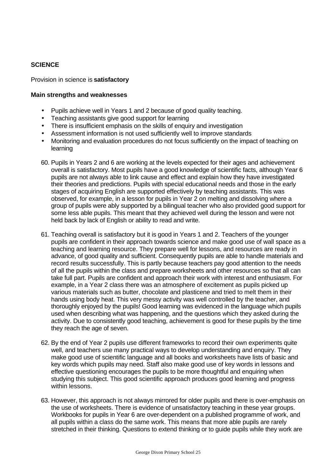# **SCIENCE**

#### Provision in science is **satisfactory**

#### **Main strengths and weaknesses**

- Pupils achieve well in Years 1 and 2 because of good quality teaching.
- Teaching assistants give good support for learning
- There is insufficient emphasis on the skills of enquiry and investigation
- Assessment information is not used sufficiently well to improve standards
- Monitoring and evaluation procedures do not focus sufficiently on the impact of teaching on learning
- 60. Pupils in Years 2 and 6 are working at the levels expected for their ages and achievement overall is satisfactory. Most pupils have a good knowledge of scientific facts, although Year 6 pupils are not always able to link cause and effect and explain how they have investigated their theories and predictions. Pupils with special educational needs and those in the early stages of acquiring English are supported effectively by teaching assistants. This was observed, for example, in a lesson for pupils in Year 2 on melting and dissolving where a group of pupils were ably supported by a bilingual teacher who also provided good support for some less able pupils. This meant that they achieved well during the lesson and were not held back by lack of English or ability to read and write.
- 61. Teaching overall is satisfactory but it is good in Years 1 and 2. Teachers of the younger pupils are confident in their approach towards science and make good use of wall space as a teaching and learning resource. They prepare well for lessons, and resources are ready in advance, of good quality and sufficient. Consequently pupils are able to handle materials and record results successfully. This is partly because teachers pay good attention to the needs of all the pupils within the class and prepare worksheets and other resources so that all can take full part. Pupils are confident and approach their work with interest and enthusiasm. For example, in a Year 2 class there was an atmosphere of excitement as pupils picked up various materials such as butter, chocolate and plasticene and tried to melt them in their hands using body heat. This very messy activity was well controlled by the teacher, and thoroughly enjoyed by the pupils! Good learning was evidenced in the language which pupils used when describing what was happening, and the questions which they asked during the activity. Due to consistently good teaching, achievement is good for these pupils by the time they reach the age of seven.
- 62. By the end of Year 2 pupils use different frameworks to record their own experiments quite well, and teachers use many practical ways to develop understanding and enquiry. They make good use of scientific language and all books and worksheets have lists of basic and key words which pupils may need. Staff also make good use of key words in lessons and effective questioning encourages the pupils to be more thoughtful and enquiring when studying this subject. This good scientific approach produces good learning and progress within lessons.
- 63. However, this approach is not always mirrored for older pupils and there is over-emphasis on the use of worksheets. There is evidence of unsatisfactory teaching in these year groups. Workbooks for pupils in Year 6 are over-dependent on a published programme of work, and all pupils within a class do the same work. This means that more able pupils are rarely stretched in their thinking. Questions to extend thinking or to guide pupils while they work are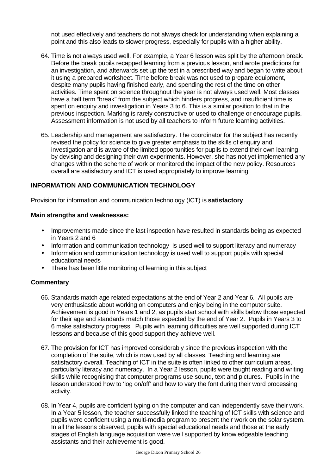not used effectively and teachers do not always check for understanding when explaining a point and this also leads to slower progress, especially for pupils with a higher ability.

- 64. Time is not always used well. For example, a Year 6 lesson was split by the afternoon break. Before the break pupils recapped learning from a previous lesson, and wrote predictions for an investigation, and afterwards set up the test in a prescribed way and began to write about it using a prepared worksheet. Time before break was not used to prepare equipment, despite many pupils having finished early, and spending the rest of the time on other activities. Time spent on science throughout the year is not always used well. Most classes have a half term "break" from the subject which hinders progress, and insufficient time is spent on enquiry and investigation in Years 3 to 6. This is a similar position to that in the previous inspection. Marking is rarely constructive or used to challenge or encourage pupils. Assessment information is not used by all teachers to inform future learning activities.
- 65. Leadership and management are satisfactory. The coordinator for the subject has recently revised the policy for science to give greater emphasis to the skills of enquiry and investigation and is aware of the limited opportunities for pupils to extend their own learning by devising and designing their own experiments. However, she has not yet implemented any changes within the scheme of work or monitored the impact of the new policy. Resources overall are satisfactory and ICT is used appropriately to improve learning.

# **INFORMATION AND COMMUNICATION TECHNOLOGY**

Provision for information and communication technology (ICT) is **satisfactory**

## **Main strengths and weaknesses:**

- Improvements made since the last inspection have resulted in standards being as expected in Years 2 and 6
- Information and communication technology is used well to support literacy and numeracy
- Information and communication technology is used well to support pupils with special educational needs
- There has been little monitoring of learning in this subject

- 66. Standards match age related expectations at the end of Year 2 and Year 6. All pupils are very enthusiastic about working on computers and enjoy being in the computer suite. Achievement is good in Years 1 and 2, as pupils start school with skills below those expected for their age and standards match those expected by the end of Year 2. Pupils in Years 3 to 6 make satisfactory progress. Pupils with learning difficulties are well supported during ICT lessons and because of this good support they achieve well.
- 67. The provision for ICT has improved considerably since the previous inspection with the completion of the suite, which is now used by all classes. Teaching and learning are satisfactory overall. Teaching of ICT in the suite is often linked to other curriculum areas, particularly literacy and numeracy. In a Year 2 lesson, pupils were taught reading and writing skills while recognising that computer programs use sound, text and pictures. Pupils in the lesson understood how to 'log on/off' and how to vary the font during their word processing activity.
- 68. In Year 4, pupils are confident typing on the computer and can independently save their work. In a Year 5 lesson, the teacher successfully linked the teaching of ICT skills with science and pupils were confident using a multi-media program to present their work on the solar system. In all the lessons observed, pupils with special educational needs and those at the early stages of English language acquisition were well supported by knowledgeable teaching assistants and their achievement is good.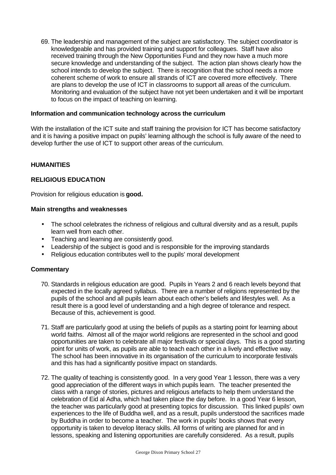69. The leadership and management of the subject are satisfactory. The subject coordinator is knowledgeable and has provided training and support for colleagues. Staff have also received training through the New Opportunities Fund and they now have a much more secure knowledge and understanding of the subject. The action plan shows clearly how the school intends to develop the subject. There is recognition that the school needs a more coherent scheme of work to ensure all strands of ICT are covered more effectively. There are plans to develop the use of ICT in classrooms to support all areas of the curriculum. Monitoring and evaluation of the subject have not yet been undertaken and it will be important to focus on the impact of teaching on learning.

#### **Information and communication technology across the curriculum**

With the installation of the ICT suite and staff training the provision for ICT has become satisfactory and it is having a positive impact on pupils' learning although the school is fully aware of the need to develop further the use of ICT to support other areas of the curriculum.

## **HUMANITIES**

#### **RELIGIOUS EDUCATION**

Provision for religious education is **good.**

#### **Main strengths and weaknesses**

- The school celebrates the richness of religious and cultural diversity and as a result, pupils learn well from each other.
- Teaching and learning are consistently good.
- Leadership of the subject is good and is responsible for the improving standards
- Religious education contributes well to the pupils' moral development

- 70. Standards in religious education are good. Pupils in Years 2 and 6 reach levels beyond that expected in the locally agreed syllabus. There are a number of religions represented by the pupils of the school and all pupils learn about each other's beliefs and lifestyles well. As a result there is a good level of understanding and a high degree of tolerance and respect. Because of this, achievement is good.
- 71. Staff are particularly good at using the beliefs of pupils as a starting point for learning about world faiths. Almost all of the major world religions are represented in the school and good opportunities are taken to celebrate all major festivals or special days. This is a good starting point for units of work, as pupils are able to teach each other in a lively and effective way. The school has been innovative in its organisation of the curriculum to incorporate festivals and this has had a significantly positive impact on standards.
- 72. The quality of teaching is consistently good. In a very good Year 1 lesson, there was a very good appreciation of the different ways in which pupils learn. The teacher presented the class with a range of stories, pictures and religious artefacts to help them understand the celebration of Eid al Adha, which had taken place the day before. In a good Year 6 lesson, the teacher was particularly good at presenting topics for discussion. This linked pupils' own experiences to the life of Buddha well, and as a result, pupils understood the sacrifices made by Buddha in order to become a teacher. The work in pupils' books shows that every opportunity is taken to develop literacy skills. All forms of writing are planned for and in lessons, speaking and listening opportunities are carefully considered. As a result, pupils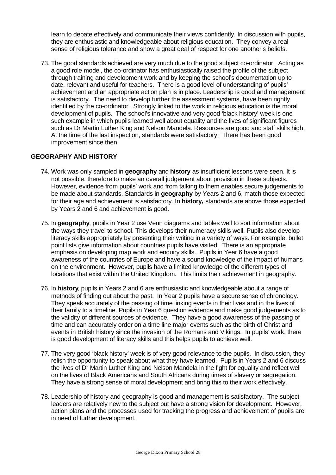learn to debate effectively and communicate their views confidently. In discussion with pupils, they are enthusiastic and knowledgeable about religious education. They convey a real sense of religious tolerance and show a great deal of respect for one another's beliefs.

73. The good standards achieved are very much due to the good subject co-ordinator. Acting as a good role model, the co-ordinator has enthusiastically raised the profile of the subject through training and development work and by keeping the school's documentation up to date, relevant and useful for teachers. There is a good level of understanding of pupils' achievement and an appropriate action plan is in place. Leadership is good and management is satisfactory. The need to develop further the assessment systems, have been rightly identified by the co-ordinator. Strongly linked to the work in religious education is the moral development of pupils. The school's innovative and very good 'black history' week is one such example in which pupils learned well about equality and the lives of significant figures such as Dr Martin Luther King and Nelson Mandela. Resources are good and staff skills high. At the time of the last inspection, standards were satisfactory. There has been good improvement since then.

## **GEOGRAPHY AND HISTORY**

- 74. Work was only sampled in **geography** and **history** as insufficient lessons were seen. It is not possible, therefore to make an overall judgement about provision in these subjects. However, evidence from pupils' work and from talking to them enables secure judgements to be made about standards. Standards in **geography** by Years 2 and 6, match those expected for their age and achievement is satisfactory. In **history,** standards are above those expected by Years 2 and 6 and achievement is good.
- 75. In **geography**, pupils in Year 2 use Venn diagrams and tables well to sort information about the ways they travel to school. This develops their numeracy skills well. Pupils also develop literacy skills appropriately by presenting their writing in a variety of ways. For example, bullet point lists give information about countries pupils have visited. There is an appropriate emphasis on developing map work and enquiry skills. Pupils in Year 6 have a good awareness of the countries of Europe and have a sound knowledge of the impact of humans on the environment. However, pupils have a limited knowledge of the different types of locations that exist within the United Kingdom. This limits their achievement in geography.
- 76. In **history**, pupils in Years 2 and 6 are enthusiastic and knowledgeable about a range of methods of finding out about the past. In Year 2 pupils have a secure sense of chronology. They speak accurately of the passing of time linking events in their lives and in the lives of their family to a timeline. Pupils in Year 6 question evidence and make good judgements as to the validity of different sources of evidence. They have a good awareness of the passing of time and can accurately order on a time line major events such as the birth of Christ and events in British history since the invasion of the Romans and Vikings. In pupils' work, there is good development of literacy skills and this helps pupils to achieve well.
- 77. The very good 'black history' week is of very good relevance to the pupils. In discussion, they relish the opportunity to speak about what they have learned. Pupils in Years 2 and 6 discuss the lives of Dr Martin Luther King and Nelson Mandela in the fight for equality and reflect well on the lives of Black Americans and South Africans during times of slavery or segregation. They have a strong sense of moral development and bring this to their work effectively.
- 78. Leadership of history and geography is good and management is satisfactory. The subject leaders are relatively new to the subject but have a strong vision for development. However, action plans and the processes used for tracking the progress and achievement of pupils are in need of further development.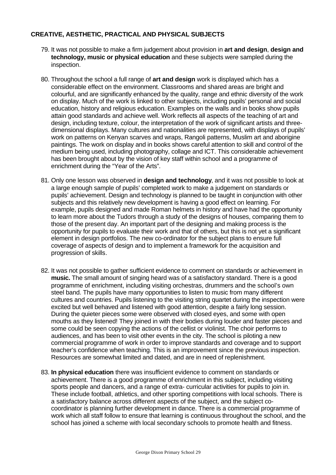## **CREATIVE, AESTHETIC, PRACTICAL AND PHYSICAL SUBJECTS**

- 79. It was not possible to make a firm judgement about provision in **art and design**, **design and technology, music or physical education** and these subjects were sampled during the inspection.
- 80. Throughout the school a full range of **art and design** work is displayed which has a considerable effect on the environment. Classrooms and shared areas are bright and colourful, and are significantly enhanced by the quality, range and ethnic diversity of the work on display. Much of the work is linked to other subjects, including pupils' personal and social education, history and religious education. Examples on the walls and in books show pupils attain good standards and achieve well. Work reflects all aspects of the teaching of art and design, including texture, colour, the interpretation of the work of significant artists and threedimensional displays. Many cultures and nationalities are represented, with displays of pupils' work on patterns on Kenyan scarves and wraps, Rangoli patterns, Muslim art and aborigine paintings. The work on display and in books shows careful attention to skill and control of the medium being used, including photography, collage and ICT. This considerable achievement has been brought about by the vision of key staff within school and a programme of enrichment during the "Year of the Arts".
- 81. Only one lesson was observed in **design and technology**, and it was not possible to look at a large enough sample of pupils' completed work to make a judgement on standards or pupils' achievement. Design and technology is planned to be taught in conjunction with other subjects and this relatively new development is having a good effect on learning. For example, pupils designed and made Roman helmets in history and have had the opportunity to learn more about the Tudors through a study of the designs of houses, comparing them to those of the present day. An important part of the designing and making process is the opportunity for pupils to evaluate their work and that of others, but this is not yet a significant element in design portfolios. The new co-ordinator for the subject plans to ensure full coverage of aspects of design and to implement a framework for the acquisition and progression of skills*.*
- 82. It was not possible to gather sufficient evidence to comment on standards or achievement in **music.** The small amount of singing heard was of a satisfactory standard. There is a good programme of enrichment, including visiting orchestras, drummers and the school's own steel band. The pupils have many opportunities to listen to music from many different cultures and countries. Pupils listening to the visiting string quartet during the inspection were excited but well behaved and listened with good attention, despite a fairly long session. During the quieter pieces some were observed with closed eyes, and some with open mouths as they listened! They joined in with their bodies during louder and faster pieces and some could be seen copying the actions of the cellist or violinist. The choir performs to audiences, and has been to visit other events in the city. The school is piloting a new commercial programme of work in order to improve standards and coverage and to support teacher's confidence when teaching. This is an improvement since the previous inspection. Resources are somewhat limited and dated, and are in need of replenishment.
- 83. **In physical education** there was insufficient evidence to comment on standards or achievement. There is a good programme of enrichment in this subject, including visiting sports people and dancers, and a range of extra- curricular activities for pupils to join in. These include football, athletics, and other sporting competitions with local schools. There is a satisfactory balance across different aspects of the subject, and the subject cocoordinator is planning further development in dance. There is a commercial programme of work which all staff follow to ensure that learning is continuous throughout the school, and the school has joined a scheme with local secondary schools to promote health and fitness.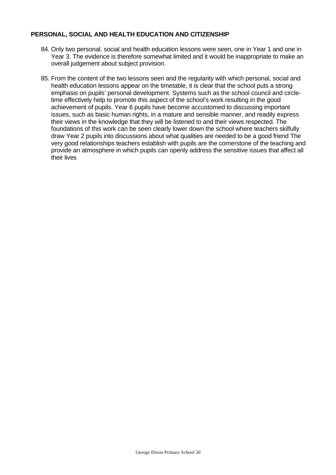## **PERSONAL, SOCIAL AND HEALTH EDUCATION AND CITIZENSHIP**

- 84. Only two personal, social and health education lessons were seen, one in Year 1 and one in Year 3. The evidence is therefore somewhat limited and it would be inappropriate to make an overall judgement about subject provision.
- 85. From the content of the two lessons seen and the regularity with which personal, social and health education lessons appear on the timetable, it is clear that the school puts a strong emphasis on pupils' personal development. Systems such as the school council and circletime effectively help to promote this aspect of the school's work resulting in the good achievement of pupils. Year 6 pupils have become accustomed to discussing important issues, such as basic human rights, in a mature and sensible manner, and readily express their views in the knowledge that they will be listened to and their views respected. The foundations of this work can be seen clearly lower down the school where teachers skilfully draw Year 2 pupils into discussions about what qualities are needed to be a good friend The very good relationships teachers establish with pupils are the cornerstone of the teaching and provide an atmosphere in which pupils can openly address the sensitive issues that affect all their lives